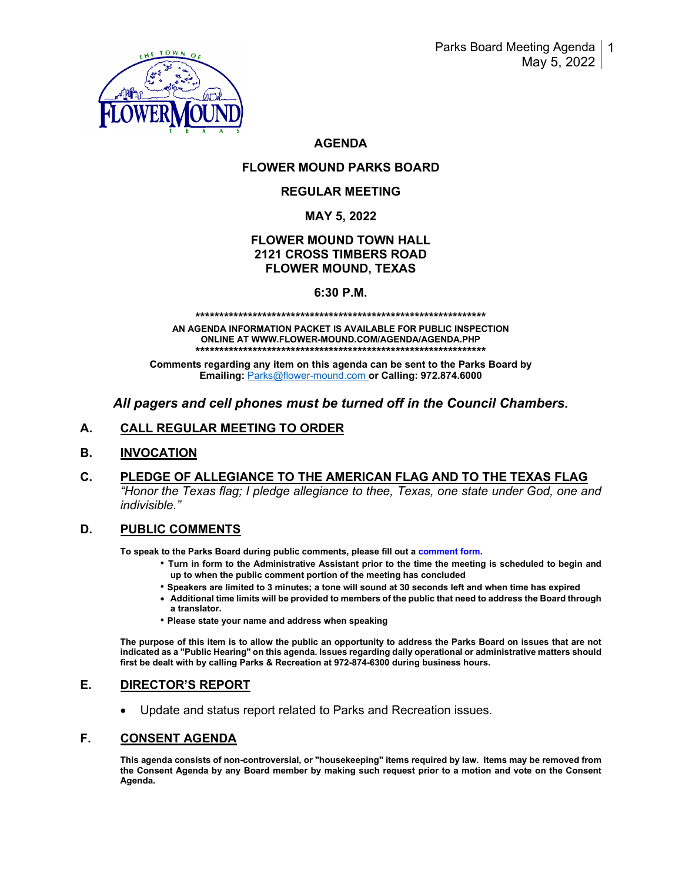

# **AGENDA**

# **FLOWER MOUND PARKS BOARD**

# **REGULAR MEETING**

# **MAY 5, 2022**

# **FLOWER MOUND TOWN HALL 2121 CROSS TIMBERS ROAD FLOWER MOUND, TEXAS**

### **6:30 P.M.**

#### **\*\*\*\*\*\*\*\*\*\*\*\*\*\*\*\*\*\*\*\*\*\*\*\*\*\*\*\*\*\*\*\*\*\*\*\*\*\*\*\*\*\*\*\*\*\*\*\*\*\*\*\*\*\*\*\*\*\*\*\*\***

**AN AGENDA INFORMATION PACKET IS AVAILABLE FOR PUBLIC INSPECTION ONLINE AT WWW.FLOWER-MOUND.COM/AGENDA/AGENDA.PHP \*\*\*\*\*\*\*\*\*\*\*\*\*\*\*\*\*\*\*\*\*\*\*\*\*\*\*\*\*\*\*\*\*\*\*\*\*\*\*\*\*\*\*\*\*\*\*\*\*\*\*\*\*\*\*\*\*\*\*\*\***

**Comments regarding any item on this agenda can be sent to the Parks Board by Emailing:** [Parks@flower-mound.com](mailto:Parks@flower-mound.com) **or Calling: 972.874.6000**

# *All pagers and cell phones must be turned off in the Council Chambers.*

# **A. CALL REGULAR MEETING TO ORDER**

### **B. INVOCATION**

**C. PLEDGE OF ALLEGIANCE TO THE AMERICAN FLAG AND TO THE TEXAS FLAG** *"Honor the Texas flag; I pledge allegiance to thee, Texas, one state under God, one and indivisible."* 

### **D. PUBLIC COMMENTS**

**To speak to the Parks Board during public comments, please fill out a comment form.** 

- **Turn in form to the Administrative Assistant prior to the time the meeting is scheduled to begin and up to when the public comment portion of the meeting has concluded**
- **Speakers are limited to 3 minutes; a tone will sound at 30 seconds left and when time has expired**
- **Additional time limits will be provided to members of the public that need to address the Board through a translator.**
- **Please state your name and address when speaking**

**The purpose of this item is to allow the public an opportunity to address the Parks Board on issues that are not indicated as a "Public Hearing" on this agenda. Issues regarding daily operational or administrative matters should first be dealt with by calling Parks & Recreation at 972-874-6300 during business hours.**

### **E. DIRECTOR'S REPORT**

• Update and status report related to Parks and Recreation issues.

### **F. CONSENT AGENDA**

**This agenda consists of non-controversial, or "housekeeping" items required by law. Items may be removed from the Consent Agenda by any Board member by making such request prior to a motion and vote on the Consent Agenda.**